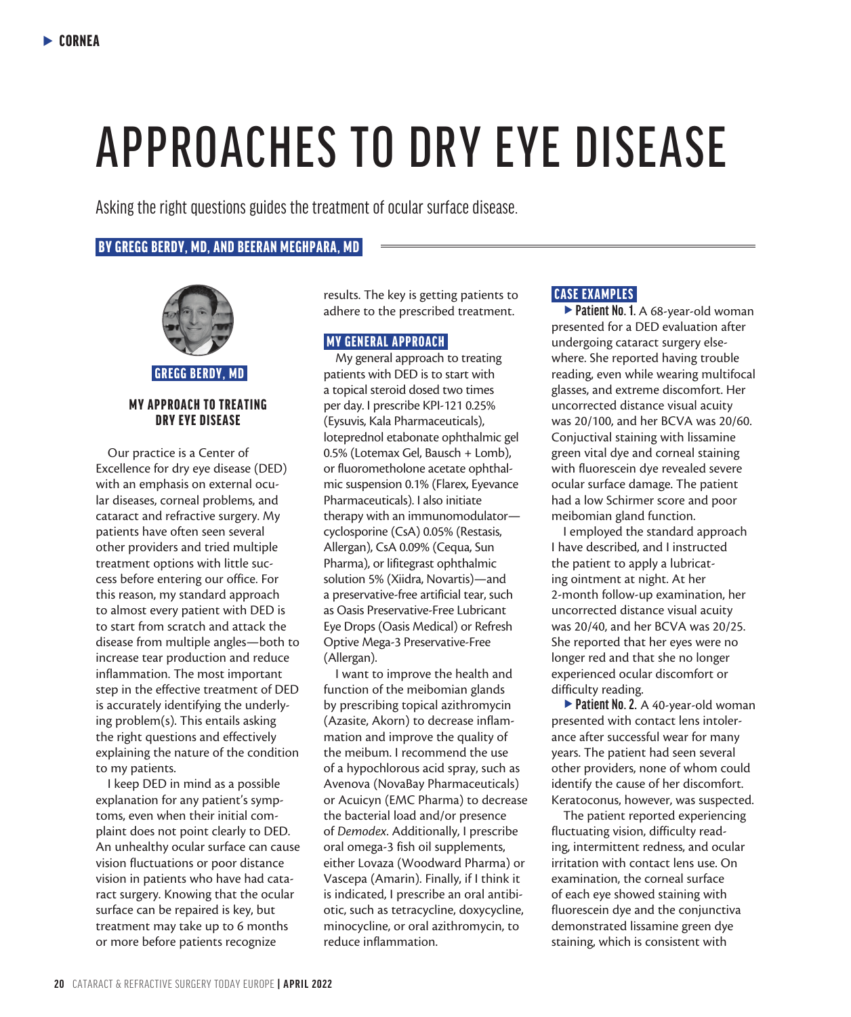# APPROACHES TO DRY EYE DISEASE

Asking the right questions guides the treatment of ocular surface disease.

#### BY GREGG BERDY, MD, AND BEERAN MEGHPARA, MD



GREGG BERDY, MD

#### MY APPROACH TO TREATING DRY EYE DISEASE

Our practice is a Center of Excellence for dry eye disease (DED) with an emphasis on external ocular diseases, corneal problems, and cataract and refractive surgery. My patients have often seen several other providers and tried multiple treatment options with little success before entering our office. For this reason, my standard approach to almost every patient with DED is to start from scratch and attack the disease from multiple angles—both to increase tear production and reduce inflammation. The most important step in the effective treatment of DED is accurately identifying the underlying problem(s). This entails asking the right questions and effectively explaining the nature of the condition to my patients.

I keep DED in mind as a possible explanation for any patient's symptoms, even when their initial complaint does not point clearly to DED. An unhealthy ocular surface can cause vision fluctuations or poor distance vision in patients who have had cataract surgery. Knowing that the ocular surface can be repaired is key, but treatment may take up to 6 months or more before patients recognize

results. The key is getting patients to adhere to the prescribed treatment.

## MY GENERAL APPROACH

My general approach to treating patients with DED is to start with a topical steroid dosed two times per day. I prescribe KPI-121 0.25% (Eysuvis, Kala Pharmaceuticals), loteprednol etabonate ophthalmic gel 0.5% (Lotemax Gel, Bausch + Lomb), or fluorometholone acetate ophthalmic suspension 0.1% (Flarex, Eyevance Pharmaceuticals). I also initiate therapy with an immunomodulator cyclosporine (CsA) 0.05% (Restasis, Allergan), CsA 0.09% (Cequa, Sun Pharma), or lifitegrast ophthalmic solution 5% (Xiidra, Novartis)—and a preservative-free artificial tear, such as Oasis Preservative-Free Lubricant Eye Drops (Oasis Medical) or Refresh Optive Mega-3 Preservative-Free (Allergan).

I want to improve the health and function of the meibomian glands by prescribing topical azithromycin (Azasite, Akorn) to decrease inflammation and improve the quality of the meibum. I recommend the use of a hypochlorous acid spray, such as Avenova (NovaBay Pharmaceuticals) or Acuicyn (EMC Pharma) to decrease the bacterial load and/or presence of *Demodex*. Additionally, I prescribe oral omega-3 fish oil supplements, either Lovaza (Woodward Pharma) or Vascepa (Amarin). Finally, if I think it is indicated, I prescribe an oral antibiotic, such as tetracycline, doxycycline, minocycline, or oral azithromycin, to reduce inflammation.

### CASE EXAMPLES

**Patient No. 1.** A 68-year-old woman presented for a DED evaluation after undergoing cataract surgery elsewhere. She reported having trouble reading, even while wearing multifocal glasses, and extreme discomfort. Her uncorrected distance visual acuity was 20/100, and her BCVA was 20/60. Conjuctival staining with lissamine green vital dye and corneal staining with fluorescein dye revealed severe ocular surface damage. The patient had a low Schirmer score and poor meibomian gland function.

I employed the standard approach I have described, and I instructed the patient to apply a lubricating ointment at night. At her 2-month follow-up examination, her uncorrected distance visual acuity was 20/40, and her BCVA was 20/25. She reported that her eyes were no longer red and that she no longer experienced ocular discomfort or difficulty reading.

**Patient No. 2.** A 40-year-old woman presented with contact lens intolerance after successful wear for many years. The patient had seen several other providers, none of whom could identify the cause of her discomfort. Keratoconus, however, was suspected.

The patient reported experiencing fluctuating vision, difficulty reading, intermittent redness, and ocular irritation with contact lens use. On examination, the corneal surface of each eye showed staining with fluorescein dye and the conjunctiva demonstrated lissamine green dye staining, which is consistent with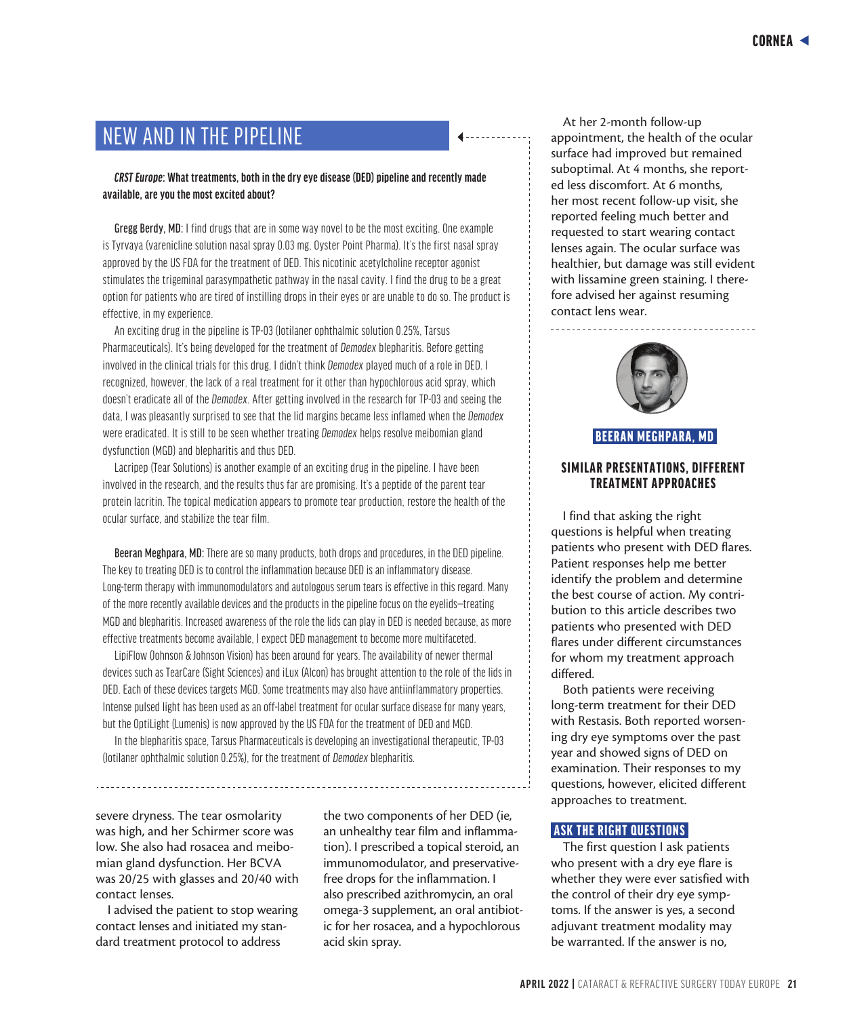# NEW AND IN THE PIPELINE

*CRST Europe***: What treatments, both in the dry eye disease (DED) pipeline and recently made available, are you the most excited about?**

Gregg Berdy, MD: I find drugs that are in some way novel to be the most exciting. One example is Tyrvaya (varenicline solution nasal spray 0.03 mg, Oyster Point Pharma). It's the first nasal spray approved by the US FDA for the treatment of DED. This nicotinic acetylcholine receptor agonist stimulates the trigeminal parasympathetic pathway in the nasal cavity. I find the drug to be a great option for patients who are tired of instilling drops in their eyes or are unable to do so. The product is effective, in my experience.

An exciting drug in the pipeline is TP-03 (lotilaner ophthalmic solution 0.25%, Tarsus Pharmaceuticals). It's being developed for the treatment of *Demodex* blepharitis. Before getting involved in the clinical trials for this drug, I didn't think *Demodex* played much of a role in DED. I recognized, however, the lack of a real treatment for it other than hypochlorous acid spray, which doesn't eradicate all of the *Demodex*. After getting involved in the research for TP-03 and seeing the data, I was pleasantly surprised to see that the lid margins became less inflamed when the *Demodex* were eradicated. It is still to be seen whether treating *Demodex* helps resolve meibomian gland dysfunction (MGD) and blepharitis and thus DED.

Lacripep (Tear Solutions) is another example of an exciting drug in the pipeline. I have been involved in the research, and the results thus far are promising. It's a peptide of the parent tear protein lacritin. The topical medication appears to promote tear production, restore the health of the ocular surface, and stabilize the tear film.

Beeran Meghpara, MD: There are so many products, both drops and procedures, in the DED pipeline. The key to treating DED is to control the inflammation because DED is an inflammatory disease. Long-term therapy with immunomodulators and autologous serum tears is effective in this regard. Many of the more recently available devices and the products in the pipeline focus on the eyelids—treating MGD and blepharitis. Increased awareness of the role the lids can play in DED is needed because, as more effective treatments become available, I expect DED management to become more multifaceted.

LipiFlow (Johnson & Johnson Vision) has been around for years. The availability of newer thermal devices such as TearCare (Sight Sciences) and iLux (Alcon) has brought attention to the role of the lids in DED. Each of these devices targets MGD. Some treatments may also have antiinflammatory properties. Intense pulsed light has been used as an off-label treatment for ocular surface disease for many years, but the OptiLight (Lumenis) is now approved by the US FDA for the treatment of DED and MGD.

In the blepharitis space, Tarsus Pharmaceuticals is developing an investigational therapeutic, TP-03 (lotilaner ophthalmic solution 0.25%), for the treatment of *Demodex* blepharitis.

severe dryness. The tear osmolarity was high, and her Schirmer score was low. She also had rosacea and meibomian gland dysfunction. Her BCVA was 20/25 with glasses and 20/40 with contact lenses.

I advised the patient to stop wearing contact lenses and initiated my standard treatment protocol to address

the two components of her DED (ie, an unhealthy tear film and inflammation). I prescribed a topical steroid, an immunomodulator, and preservativefree drops for the inflammation. I also prescribed azithromycin, an oral omega-3 supplement, an oral antibiotic for her rosacea, and a hypochlorous acid skin spray.

At her 2-month follow-up appointment, the health of the ocular surface had improved but remained suboptimal. At 4 months, she reported less discomfort. At 6 months, her most recent follow-up visit, she reported feeling much better and requested to start wearing contact lenses again. The ocular surface was healthier, but damage was still evident with lissamine green staining. I therefore advised her against resuming contact lens wear.



<u>. . . . . . . . . . . . . . . .</u>

#### BEERAN MEGHPARA, MD

#### SIMILAR PRESENTATIONS, DIFFERENT TREATMENT APPROACHES

I find that asking the right questions is helpful when treating patients who present with DED flares. Patient responses help me better identify the problem and determine the best course of action. My contribution to this article describes two patients who presented with DED flares under different circumstances for whom my treatment approach differed.

Both patients were receiving long-term treatment for their DED with Restasis. Both reported worsening dry eye symptoms over the past year and showed signs of DED on examination. Their responses to my questions, however, elicited different approaches to treatment.

#### ASK THE RIGHT QUESTIONS

The first question I ask patients who present with a dry eye flare is whether they were ever satisfied with the control of their dry eye symptoms. If the answer is yes, a second adjuvant treatment modality may be warranted. If the answer is no,